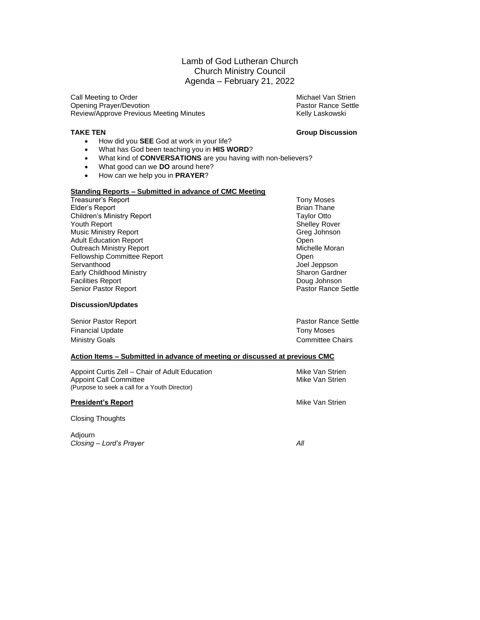### Lamb of God Lutheran Church Church Ministry Council Agenda – February 21, 2022

Call Meeting to Order Michael Van Strien Michael Van Strien Opening Prayer/Devotion **Pastor Rance Settle** Pastor Rance Settle Review/Approve Previous Meeting Minutes **Kelly Laskowski** Kelly Laskowski

#### **TAKE TEN Group Discussion**

- How did you **SEE** God at work in your life?
- What has God been teaching you in **HIS WORD**?
- What kind of **CONVERSATIONS** are you having with non-believers?
- What good can we **DO** around here?
- How can we help you in **PRAYER**?

### **Standing Reports – Submitted in advance of CMC Meeting**

Treasurer's Report Tony Moses<br>
Elder's Report **Tony Moses**<br>
Elder's Report Brian Thane Elder's Report<br>Children's Ministry Report **Children's Ministry Report** Children's Ministry Report<br>Youth Report Music Ministry Report Adult Education Report **Contact Contact Contact Contact Contact Contact Contact Contact Contact Contact Contact Contact Contact Contact Contact Contact Contact Contact Contact Contact Contact Contact Contact Contact Contac** Outreach Ministry Report **Michelle Moran** Michelle Moran Fellowship Committee Report **Committee Report** Committee Report **Committee Report** Servanthood **Contains a Servanthood** Contains a Servanthood **Joel Jeppson** Early Childhood Ministry **Sharon Gardner** Sharon Gardner Facilities Report Doug Johnson Senior Pastor Report

**Discussion/Updates**

Senior Pastor Report **Pastor Report** Pastor Rance Settle Financial Update Tony Moses Ministry Goals **Committee Chairs** Committee Chairs

Shelley Rover<br>Greg Johnson

#### **Action Items – Submitted in advance of meeting or discussed at previous CMC**

Appoint Curtis Zell – Chair of Adult Education Music Communication Mike Van Strien<br>Appoint Call Committee Music Communication Mike Van Strien Appoint Call Committee (Purpose to seek a call for a Youth Director)

**President's Report** Mike Van Strien Mike Van Strien

Closing Thoughts

Adjourn *Closing – Lord's Prayer All*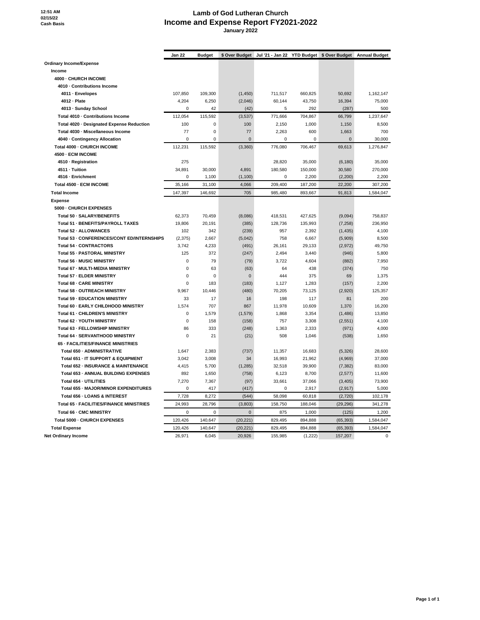**12:51 AM 02/15/22 Cash Basis**

#### **Lamb of God Lutheran Church Income and Expense Report FY2021-2022 January 2022**

|                                            | Jan 22      | <b>Budget</b> | \$ Over Budget |          |          | Jul '21 - Jan 22 YTD Budget \$ Over Budget Annual Budget |             |
|--------------------------------------------|-------------|---------------|----------------|----------|----------|----------------------------------------------------------|-------------|
| Ordinary Income/Expense                    |             |               |                |          |          |                                                          |             |
| Income                                     |             |               |                |          |          |                                                          |             |
| 4000 - CHURCH INCOME                       |             |               |                |          |          |                                                          |             |
| 4010 - Contributions Income                |             |               |                |          |          |                                                          |             |
| 4011 · Envelopes                           | 107,850     | 109,300       | (1, 450)       | 711,517  | 660,825  | 50,692                                                   | 1,162,147   |
| 4012 - Plate                               | 4,204       | 6,250         | (2,046)        | 60,144   | 43,750   | 16,394                                                   | 75,000      |
| 4013 - Sunday School                       | $\Omega$    | 42            | (42)           | 5        | 292      | (287)                                                    | 500         |
| Total 4010 Contributions Income            | 112,054     | 115,592       | (3,537)        | 771,666  | 704,867  | 66,799                                                   | 1,237,647   |
| Total 4020 - Designated Expense Reduction  | 100         | $\mathbf 0$   | 100            | 2,150    | 1,000    | 1,150                                                    | 8,500       |
| Total 4030 · Miscellaneous Income          | 77          | $\mathbf 0$   | 77             | 2,263    | 600      | 1,663                                                    | 700         |
| 4040 Contingency Allocation                | $\pmb{0}$   | $\mathbf 0$   | 0              | 0        | 0        | $\mathbf 0$                                              | 30,000      |
| Total 4000 - CHURCH INCOME                 | 112,231     | 115,592       | (3,360)        | 776,080  | 706,467  | 69,613                                                   | 1,276,847   |
| 4500 - ECM INCOME                          |             |               |                |          |          |                                                          |             |
| 4510 - Registration                        | 275         |               |                | 28,820   | 35,000   | (6, 180)                                                 | 35,000      |
| 4511 - Tuition                             | 34,891      | 30,000        | 4,891          | 180,580  | 150,000  | 30,580                                                   | 270,000     |
| 4516 - Enrichment                          | $\mathbf 0$ | 1,100         | (1, 100)       | 0        | 2,200    | (2,200)                                                  | 2,200       |
| Total 4500 - ECM INCOME                    | 35,166      | 31,100        | 4,066          | 209,400  | 187,200  | 22,200                                                   | 307,200     |
| <b>Total Income</b>                        | 147,397     | 146,692       | 705            | 985.480  | 893,667  | 91,813                                                   | 1,584,047   |
| <b>Expense</b>                             |             |               |                |          |          |                                                          |             |
| 5000 - CHURCH EXPENSES                     |             |               |                |          |          |                                                          |             |
| Total 50 - SALARY/BENEFITS                 | 62,373      | 70,459        | (8,086)        | 418,531  | 427,625  | (9,094)                                                  | 758,837     |
| Total 51 - BENEFITS/PAYROLL TAXES          | 19,806      | 20,191        | (385)          | 128,736  | 135,993  | (7, 258)                                                 | 236,950     |
| Total 52 - ALLOWANCES                      | 102         | 342           | (239)          | 957      | 2,392    | (1, 435)                                                 | 4,100       |
| Total 53 - CONFERENCES/CONT ED/INTERNSHIPS | (2, 375)    | 2,667         | (5,042)        | 758      | 6,667    | (5,909)                                                  | 8.500       |
| Total 54 - CONTRACTORS                     | 3,742       | 4,233         | (491)          | 26,161   | 29,133   | (2,972)                                                  | 49,750      |
| Total 55 - PASTORAL MINISTRY               | 125         | 372           | (247)          | 2,494    | 3,440    | (946)                                                    | 5,800       |
| Total 56 - MUSIC MINISTRY                  | $\mathbf 0$ | 79            | (79)           | 3,722    | 4,604    | (882)                                                    | 7,950       |
| Total 67 - MULTI-MEDIA MINISTRY            | $\mathbf 0$ | 63            | (63)           | 64       | 438      | (374)                                                    | 750         |
| Total 57 - ELDER MINISTRY                  | 0           | 0             | $\pmb{0}$      | 444      | 375      | 69                                                       | 1,375       |
| Total 68 - CARE MINISTRY                   | $\mathbf 0$ | 183           | (183)          | 1,127    | 1,283    | (157)                                                    | 2,200       |
| Total 58 - OUTREACH MINISTRY               | 9,967       | 10,446        | (480)          | 70,205   | 73,125   | (2,920)                                                  | 125,357     |
| <b>Total 59 - EDUCATION MINISTRY</b>       | 33          | 17            | 16             | 198      | 117      | 81                                                       | 200         |
| Total 60 - EARLY CHILDHOOD MINISTRY        | 1,574       | 707           | 867            | 11,978   | 10,609   | 1,370                                                    | 16,200      |
| Total 61 - CHILDREN'S MINISTRY             | $\mathbf 0$ | 1,579         | (1,579)        | 1,868    | 3,354    | (1, 486)                                                 | 13,850      |
| Total 62 - YOUTH MINISTRY                  | 0           | 158           | (158)          | 757      | 3,308    | (2,551)                                                  | 4,100       |
| Total 63 - FELLOWSHIP MINISTRY             | 86          | 333           | (248)          | 1,363    | 2,333    | (971)                                                    | 4,000       |
| Total 64 - SERVANTHOOD MINISTRY            | $\mathbf 0$ | 21            | (21)           | 508      | 1,046    | (538)                                                    | 1,650       |
| 65 - FACILITIES/FINANCE MINISTRIES         |             |               |                |          |          |                                                          |             |
| Total 650 - ADMINISTRATIVE                 | 1,647       | 2,383         | (737)          | 11,357   | 16,683   | (5,326)                                                  | 28,600      |
| Total 651 - IT SUPPORT & EQUIPMENT         | 3,042       | 3,008         | 34             | 16,993   | 21,962   | (4,969)                                                  | 37,000      |
| Total 652 - INSURANCE & MAINTENANCE        | 4,415       | 5,700         | (1, 285)       | 32,518   | 39,900   | (7, 382)                                                 | 83,000      |
| Total 653 - ANNUAL BUILDING EXPENSES       | 892         | 1,650         | (758)          | 6,123    | 8,700    | (2,577)                                                  | 11,600      |
| Total 654 - UTILITIES                      | 7,270       | 7,367         | (97)           | 33,661   | 37,066   | (3, 405)                                                 | 73,900      |
| Total 655 - MAJOR/MINOR EXPENDITURES       | $\Omega$    | 417           | (417)          | $\Omega$ | 2,917    | (2, 917)                                                 | 5,000       |
| Total 656 - LOANS & INTEREST               | 7,728       | 8,272         | (544)          | 58,098   | 60,818   | (2,720)                                                  | 102,178     |
| Total 65 - FACILITIES/FINANCE MINISTRIES   | 24,993      | 28,796        | (3,803)        | 158,750  | 188,046  | (29, 296)                                                | 341,278     |
| Total 66 - CMC MINISTRY                    | 0           | 0             | $\mathbf 0$    | 875      | 1,000    | (125)                                                    | 1,200       |
| Total 5000 - CHURCH EXPENSES               | 120,426     | 140,647       | (20, 221)      | 829,495  | 894,888  | (65, 393)                                                | 1,584,047   |
| <b>Total Expense</b>                       | 120,426     | 140,647       | (20, 221)      | 829,495  | 894,888  | (65, 393)                                                | 1,584,047   |
| <b>Net Ordinary Income</b>                 | 26,971      | 6.045         | 20,926         | 155.985  | (1, 222) | 157.207                                                  | $\mathbf 0$ |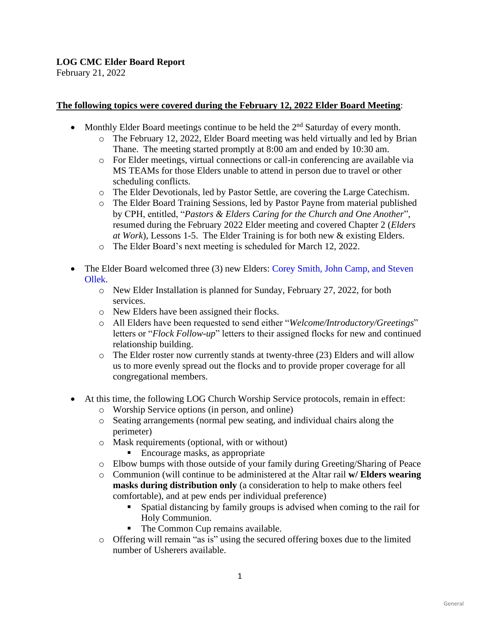## **LOG CMC Elder Board Report**

February 21, 2022

### **The following topics were covered during the February 12, 2022 Elder Board Meeting**:

- Monthly Elder Board meetings continue to be held the  $2<sup>nd</sup>$  Saturday of every month.
	- o The February 12, 2022, Elder Board meeting was held virtually and led by Brian Thane. The meeting started promptly at 8:00 am and ended by 10:30 am.
		- o For Elder meetings, virtual connections or call-in conferencing are available via MS TEAMs for those Elders unable to attend in person due to travel or other scheduling conflicts.
		- o The Elder Devotionals, led by Pastor Settle, are covering the Large Catechism.
		- o The Elder Board Training Sessions, led by Pastor Payne from material published by CPH, entitled, "*Pastors & Elders Caring for the Church and One Another*", resumed during the February 2022 Elder meeting and covered Chapter 2 (*Elders at Work*), Lessons 1-5. The Elder Training is for both new & existing Elders.
		- o The Elder Board's next meeting is scheduled for March 12, 2022.
- The Elder Board welcomed three (3) new Elders: Corey Smith, John Camp, and Steven Ollek.
	- o New Elder Installation is planned for Sunday, February 27, 2022, for both services.
	- o New Elders have been assigned their flocks.
	- o All Elders have been requested to send either "*Welcome/Introductory/Greetings*" letters or "*Flock Follow-up*" letters to their assigned flocks for new and continued relationship building.
	- $\circ$  The Elder roster now currently stands at twenty-three (23) Elders and will allow us to more evenly spread out the flocks and to provide proper coverage for all congregational members.
- At this time, the following LOG Church Worship Service protocols, remain in effect:
	- o Worship Service options (in person, and online)
	- o Seating arrangements (normal pew seating, and individual chairs along the perimeter)
	- o Mask requirements (optional, with or without)
		- Encourage masks, as appropriate
	- o Elbow bumps with those outside of your family during Greeting/Sharing of Peace
	- o Communion (will continue to be administered at the Altar rail **w/ Elders wearing masks during distribution only** (a consideration to help to make others feel comfortable), and at pew ends per individual preference)
		- Spatial distancing by family groups is advised when coming to the rail for Holy Communion.
		- The Common Cup remains available.
	- o Offering will remain "as is" using the secured offering boxes due to the limited number of Usherers available.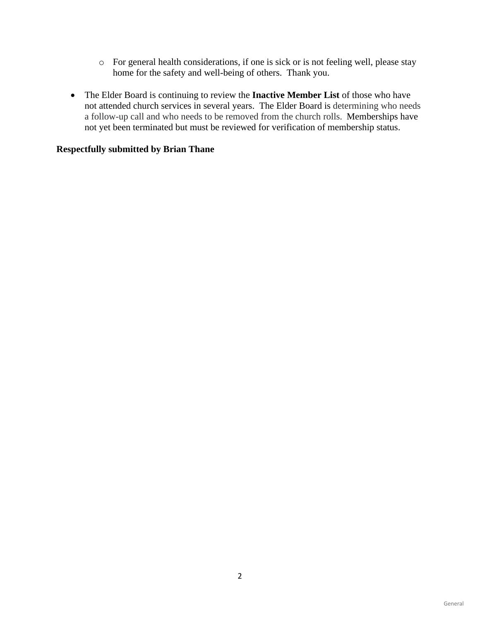- o For general health considerations, if one is sick or is not feeling well, please stay home for the safety and well-being of others. Thank you.
- The Elder Board is continuing to review the **Inactive Member List** of those who have not attended church services in several years. The Elder Board is determining who needs a follow-up call and who needs to be removed from the church rolls. Memberships have not yet been terminated but must be reviewed for verification of membership status.

### **Respectfully submitted by Brian Thane**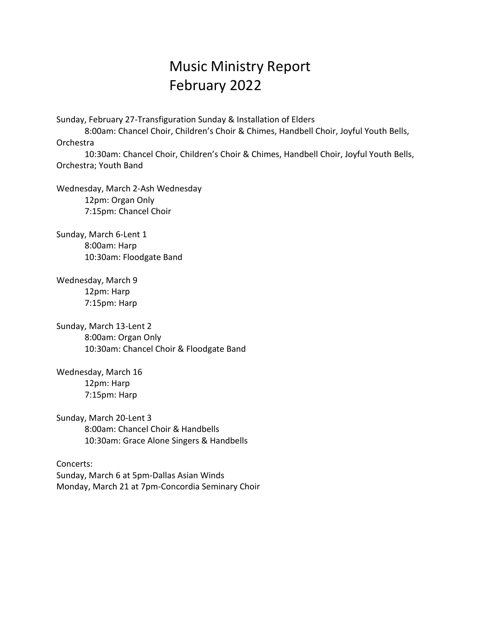# Music Ministry Report February 2022

Sunday, February 27-Transfiguration Sunday & Installation of Elders

8:00am: Chancel Choir, Children's Choir & Chimes, Handbell Choir, Joyful Youth Bells, Orchestra

10:30am: Chancel Choir, Children's Choir & Chimes, Handbell Choir, Joyful Youth Bells, Orchestra; Youth Band

Wednesday, March 2-Ash Wednesday 12pm: Organ Only 7:15pm: Chancel Choir

Sunday, March 6-Lent 1 8:00am: Harp 10:30am: Floodgate Band

Wednesday, March 9 12pm: Harp 7:15pm: Harp

Sunday, March 13-Lent 2 8:00am: Organ Only 10:30am: Chancel Choir & Floodgate Band

Wednesday, March 16 12pm: Harp 7:15pm: Harp

Sunday, March 20-Lent 3 8:00am: Chancel Choir & Handbells 10:30am: Grace Alone Singers & Handbells

Concerts: Sunday, March 6 at 5pm-Dallas Asian Winds Monday, March 21 at 7pm-Concordia Seminary Choir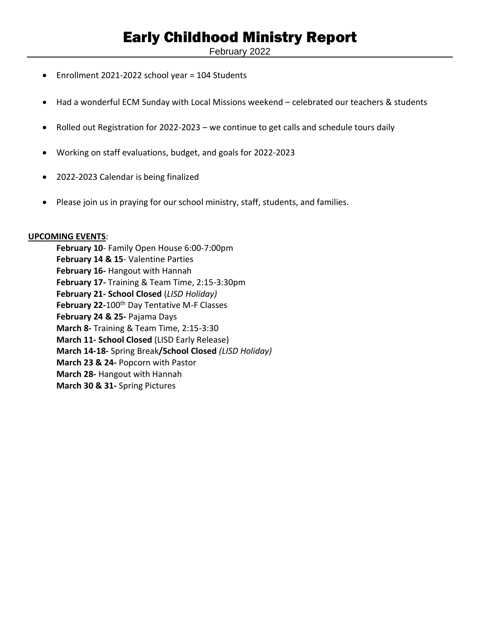# Early Childhood Ministry Report

February 2022

- Enrollment 2021-2022 school year = 104 Students
- Had a wonderful ECM Sunday with Local Missions weekend celebrated our teachers & students
- Rolled out Registration for 2022-2023 we continue to get calls and schedule tours daily
- Working on staff evaluations, budget, and goals for 2022-2023
- 2022-2023 Calendar is being finalized
- Please join us in praying for our school ministry, staff, students, and families.

### **UPCOMING EVENTS**:

**February 10**- Family Open House 6:00-7:00pm **February 14 & 15**- Valentine Parties **February 16-** Hangout with Hannah **February 17-** Training & Team Time, 2:15-3:30pm **February 21- School Closed** (*LISD Holiday)* February 22-100<sup>th</sup> Day Tentative M-F Classes **February 24 & 25-** Pajama Days **March 8-** Training & Team Time, 2:15-3:30 **March 11- School Closed** (LISD Early Release) **March 14-18-** Spring Break**/School Closed** *(LISD Holiday)* **March 23 & 24-** Popcorn with Pastor **March 28-** Hangout with Hannah **March 30 & 31-** Spring Pictures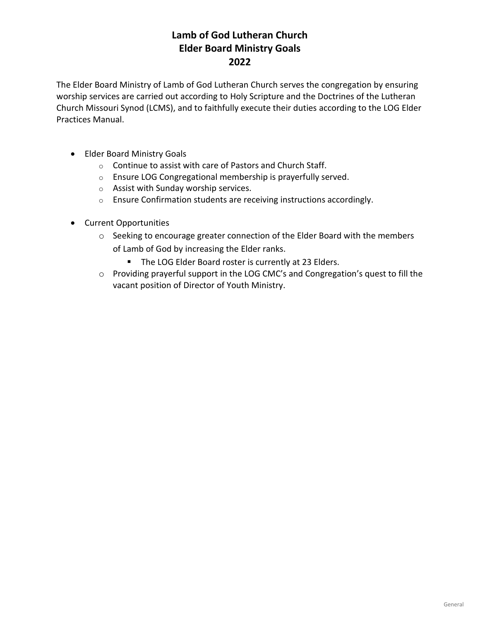# **Lamb of God Lutheran Church Elder Board Ministry Goals 2022**

The Elder Board Ministry of Lamb of God Lutheran Church serves the congregation by ensuring worship services are carried out according to Holy Scripture and the Doctrines of the Lutheran Church Missouri Synod (LCMS), and to faithfully execute their duties according to the LOG Elder Practices Manual.

- Elder Board Ministry Goals
	- o Continue to assist with care of Pastors and Church Staff.
	- o Ensure LOG Congregational membership is prayerfully served.
	- o Assist with Sunday worship services.
	- o Ensure Confirmation students are receiving instructions accordingly.
- Current Opportunities
	- o Seeking to encourage greater connection of the Elder Board with the members of Lamb of God by increasing the Elder ranks.
		- The LOG Elder Board roster is currently at 23 Elders.
	- o Providing prayerful support in the LOG CMC's and Congregation's quest to fill the vacant position of Director of Youth Ministry.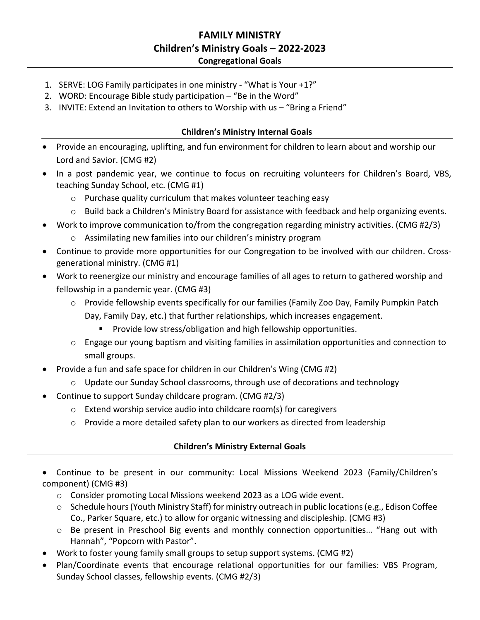## **FAMILY MINISTRY Children's Ministry Goals – 2022-2023 Congregational Goals**

- 1. SERVE: LOG Family participates in one ministry "What is Your +1?"
- 2. WORD: Encourage Bible study participation "Be in the Word"
- 3. INVITE: Extend an Invitation to others to Worship with us "Bring a Friend"

### **Children's Ministry Internal Goals**

- Provide an encouraging, uplifting, and fun environment for children to learn about and worship our Lord and Savior. (CMG #2)
- In a post pandemic year, we continue to focus on recruiting volunteers for Children's Board, VBS, teaching Sunday School, etc. (CMG #1)
	- o Purchase quality curriculum that makes volunteer teaching easy
	- $\circ$  Build back a Children's Ministry Board for assistance with feedback and help organizing events.
- Work to improve communication to/from the congregation regarding ministry activities. (CMG #2/3)
	- o Assimilating new families into our children's ministry program
- Continue to provide more opportunities for our Congregation to be involved with our children. Crossgenerational ministry. (CMG #1)
- Work to reenergize our ministry and encourage families of all ages to return to gathered worship and fellowship in a pandemic year. (CMG #3)
	- $\circ$  Provide fellowship events specifically for our families (Family Zoo Day, Family Pumpkin Patch Day, Family Day, etc.) that further relationships, which increases engagement.
		- Provide low stress/obligation and high fellowship opportunities.
	- o Engage our young baptism and visiting families in assimilation opportunities and connection to small groups.
- Provide a fun and safe space for children in our Children's Wing (CMG #2)
	- $\circ$  Update our Sunday School classrooms, through use of decorations and technology
- Continue to support Sunday childcare program. (CMG #2/3)
	- o Extend worship service audio into childcare room(s) for caregivers
	- $\circ$  Provide a more detailed safety plan to our workers as directed from leadership

### **Children's Ministry External Goals**

- Continue to be present in our community: Local Missions Weekend 2023 (Family/Children's component) (CMG #3)
	- o Consider promoting Local Missions weekend 2023 as a LOG wide event.
	- $\circ$  Schedule hours (Youth Ministry Staff) for ministry outreach in public locations (e.g., Edison Coffee Co., Parker Square, etc.) to allow for organic witnessing and discipleship. (CMG #3)
	- $\circ$  Be present in Preschool Big events and monthly connection opportunities... "Hang out with Hannah", "Popcorn with Pastor".
- Work to foster young family small groups to setup support systems. (CMG #2)
- Plan/Coordinate events that encourage relational opportunities for our families: VBS Program, Sunday School classes, fellowship events. (CMG #2/3)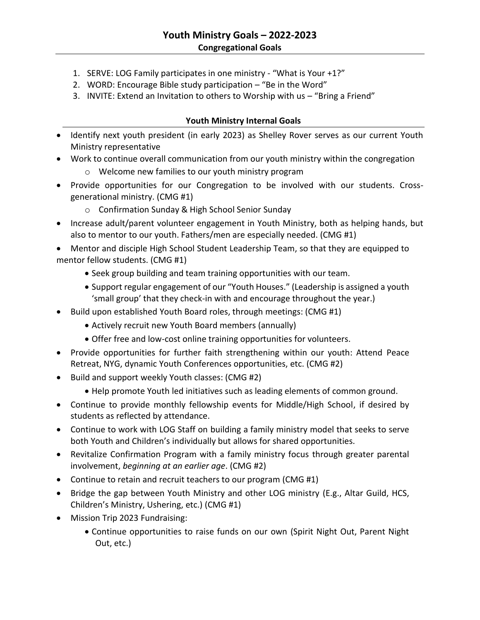- 1. SERVE: LOG Family participates in one ministry "What is Your +1?"
- 2. WORD: Encourage Bible study participation "Be in the Word"
- 3. INVITE: Extend an Invitation to others to Worship with us "Bring a Friend"

## **Youth Ministry Internal Goals**

- Identify next youth president (in early 2023) as Shelley Rover serves as our current Youth Ministry representative
- Work to continue overall communication from our youth ministry within the congregation
	- o Welcome new families to our youth ministry program
- Provide opportunities for our Congregation to be involved with our students. Crossgenerational ministry. (CMG #1)
	- o Confirmation Sunday & High School Senior Sunday
- Increase adult/parent volunteer engagement in Youth Ministry, both as helping hands, but also to mentor to our youth. Fathers/men are especially needed. (CMG #1)
- Mentor and disciple High School Student Leadership Team, so that they are equipped to mentor fellow students. (CMG #1)
	- Seek group building and team training opportunities with our team.
	- Support regular engagement of our "Youth Houses." (Leadership is assigned a youth 'small group' that they check-in with and encourage throughout the year.)
- Build upon established Youth Board roles, through meetings: (CMG #1)
	- Actively recruit new Youth Board members (annually)
	- Offer free and low-cost online training opportunities for volunteers.
- Provide opportunities for further faith strengthening within our youth: Attend Peace Retreat, NYG, dynamic Youth Conferences opportunities, etc. (CMG #2)
- Build and support weekly Youth classes: (CMG #2)
	- Help promote Youth led initiatives such as leading elements of common ground.
- Continue to provide monthly fellowship events for Middle/High School, if desired by students as reflected by attendance.
- Continue to work with LOG Staff on building a family ministry model that seeks to serve both Youth and Children's individually but allows for shared opportunities.
- Revitalize Confirmation Program with a family ministry focus through greater parental involvement, *beginning at an earlier age*. (CMG #2)
- Continue to retain and recruit teachers to our program (CMG #1)
- Bridge the gap between Youth Ministry and other LOG ministry (E.g., Altar Guild, HCS, Children's Ministry, Ushering, etc.) (CMG #1)
- Mission Trip 2023 Fundraising:
	- Continue opportunities to raise funds on our own (Spirit Night Out, Parent Night Out, etc.)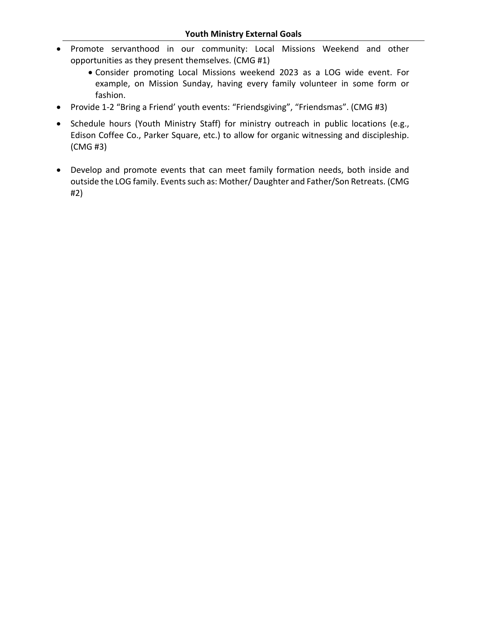- Promote servanthood in our community: Local Missions Weekend and other opportunities as they present themselves. (CMG #1)
	- Consider promoting Local Missions weekend 2023 as a LOG wide event. For example, on Mission Sunday, having every family volunteer in some form or fashion.
- Provide 1-2 "Bring a Friend' youth events: "Friendsgiving", "Friendsmas". (CMG #3)
- Schedule hours (Youth Ministry Staff) for ministry outreach in public locations (e.g., Edison Coffee Co., Parker Square, etc.) to allow for organic witnessing and discipleship. (CMG #3)
- Develop and promote events that can meet family formation needs, both inside and outside the LOG family. Events such as: Mother/ Daughter and Father/Son Retreats. (CMG #2)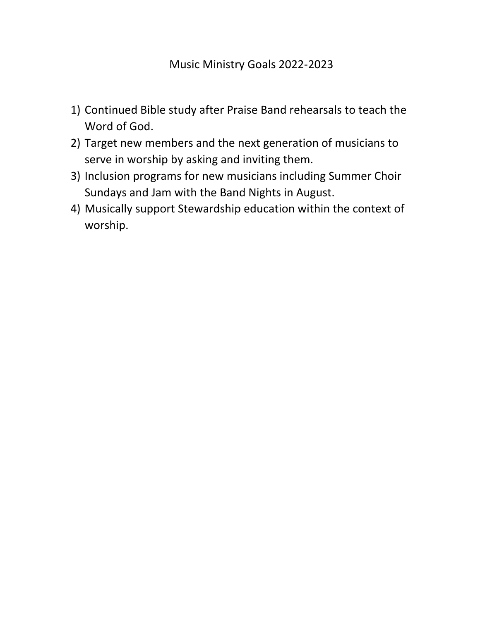- 1) Continued Bible study after Praise Band rehearsals to teach the Word of God.
- 2) Target new members and the next generation of musicians to serve in worship by asking and inviting them.
- 3) Inclusion programs for new musicians including Summer Choir Sundays and Jam with the Band Nights in August.
- 4) Musically support Stewardship education within the context of worship.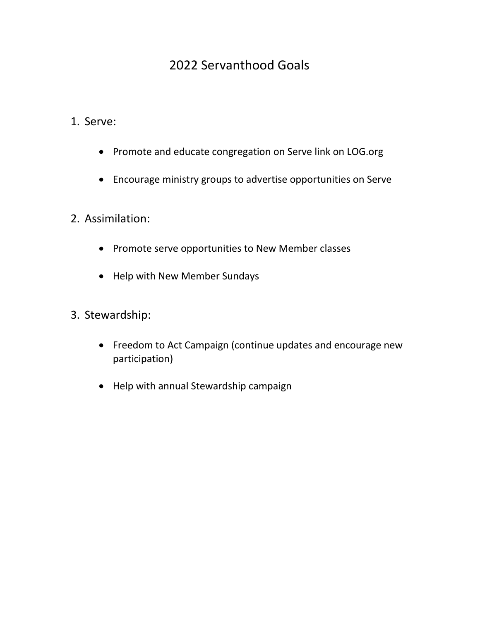# 2022 Servanthood Goals

- 1. Serve:
	- Promote and educate congregation on Serve link on LOG.org
	- Encourage ministry groups to advertise opportunities on Serve
- 2. Assimilation:
	- Promote serve opportunities to New Member classes
	- Help with New Member Sundays
- 3. Stewardship:
	- Freedom to Act Campaign (continue updates and encourage new participation)
	- Help with annual Stewardship campaign